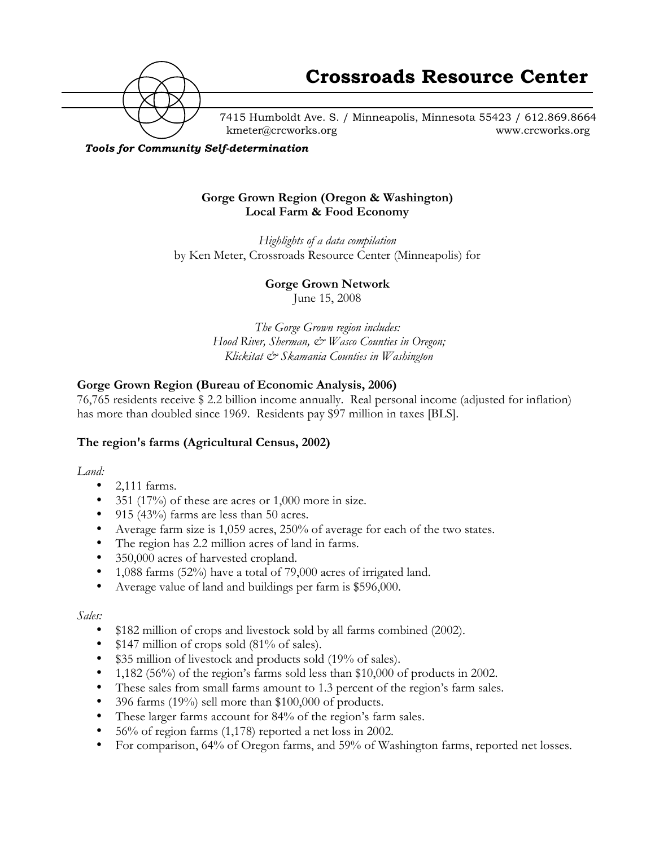

7415 Humboldt Ave. S. / Minneapolis, Minnesota 55423 / 612.869.8664 kmeter@crcworks.org www.crcworks.org

## *Tools for Community Self-determination*

## **Gorge Grown Region (Oregon & Washington) Local Farm & Food Economy**

*Highlights of a data compilation* by Ken Meter, Crossroads Resource Center (Minneapolis) for

**Gorge Grown Network**

June 15, 2008

*The Gorge Grown region includes: Hood River, Sherman, & Wasco Counties in Oregon; Klickitat & Skamania Counties in Washington*

# **Gorge Grown Region (Bureau of Economic Analysis, 2006)**

76,765 residents receive \$ 2.2 billion income annually. Real personal income (adjusted for inflation) has more than doubled since 1969. Residents pay \$97 million in taxes [BLS].

#### **The region's farms (Agricultural Census, 2002)**

*Land:*

2,111 farms. 351 (17%) of these are acres or 1,000 more in size. 915 (43%) farms are less than 50 acres. Average farm size is 1,059 acres, 250% of average for each of the two states. The region has 2.2 million acres of land in farms. 350,000 acres of harvested cropland. 1,088 farms (52%) have a total of 79,000 acres of irrigated land. Average value of land and buildings per farm is \$596,000.

*Sales:*

\$182 million of crops and livestock sold by all farms combined (2002). \$147 million of crops sold (81% of sales). \$35 million of livestock and products sold (19% of sales). 1,182 (56%) of the region's farms sold less than \$10,000 of products in 2002. These sales from small farms amount to 1.3 percent of the region's farm sales. 396 farms (19%) sell more than \$100,000 of products. These larger farms account for 84% of the region's farm sales. 56% of region farms (1,178) reported a net loss in 2002. For comparison, 64% of Oregon farms, and 59% of Washington farms, reported net losses.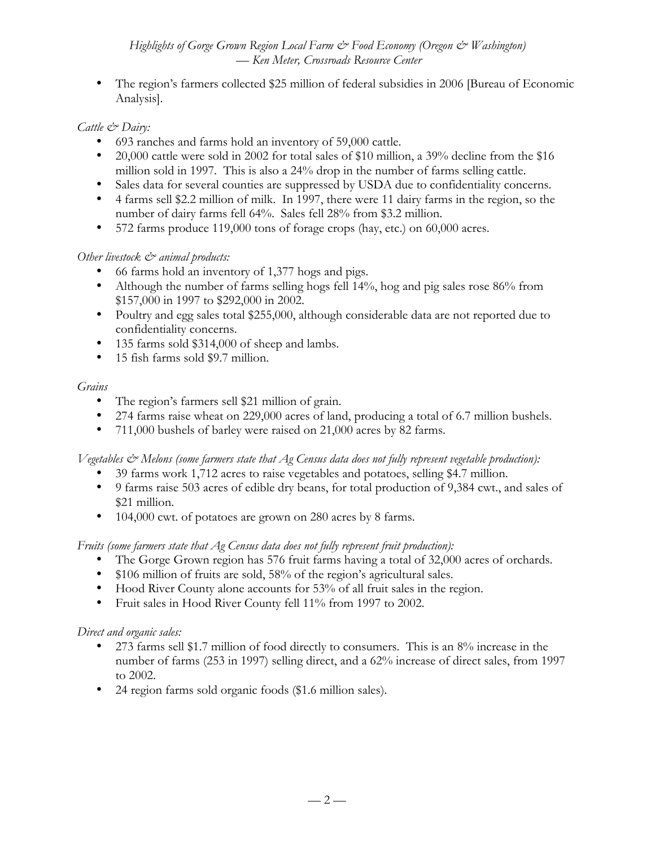## *Highlights of Gorge Grown Region Local Farm*  $\dot{\mathcal{C}}$  *Food Economy (Oregon*  $\dot{\mathcal{C}}$  *Washington) — Ken Meter, Crossroads Resource Center*

The region's farmers collected \$25 million of federal subsidies in 2006 [Bureau of Economic Analysis].

#### *Cattle & Dairy:*

693 ranches and farms hold an inventory of 59,000 cattle.

20,000 cattle were sold in 2002 for total sales of \$10 million, a 39% decline from the \$16 million sold in 1997. This is also a 24% drop in the number of farms selling cattle. Sales data for several counties are suppressed by USDA due to confidentiality concerns. 4 farms sell \$2.2 million of milk. In 1997, there were 11 dairy farms in the region, so the number of dairy farms fell 64%. Sales fell 28% from \$3.2 million.

572 farms produce 119,000 tons of forage crops (hay, etc.) on 60,000 acres.

## *Other livestock*  $\mathcal{O}^*$  animal products:

66 farms hold an inventory of 1,377 hogs and pigs.

Although the number of farms selling hogs fell 14%, hog and pig sales rose 86% from \$157,000 in 1997 to \$292,000 in 2002.

Poultry and egg sales total \$255,000, although considerable data are not reported due to confidentiality concerns.

135 farms sold \$314,000 of sheep and lambs.

15 fish farms sold \$9.7 million.

## *Grains*

The region's farmers sell \$21 million of grain.

274 farms raise wheat on 229,000 acres of land, producing a total of 6.7 million bushels. 711,000 bushels of barley were raised on 21,000 acres by 82 farms.

*Vegetables & Melons (some farmers state that Ag Census data does not fully represent vegetable production):*

39 farms work 1,712 acres to raise vegetables and potatoes, selling \$4.7 million.

9 farms raise 503 acres of edible dry beans, for total production of 9,384 cwt., and sales of \$21 million.

104,000 cwt. of potatoes are grown on 280 acres by 8 farms.

*Fruits (some farmers state that Ag Census data does not fully represent fruit production):*

The Gorge Grown region has 576 fruit farms having a total of 32,000 acres of orchards. \$106 million of fruits are sold, 58% of the region's agricultural sales.

Hood River County alone accounts for 53% of all fruit sales in the region.

Fruit sales in Hood River County fell 11% from 1997 to 2002.

# *Direct and organic sales:*

273 farms sell \$1.7 million of food directly to consumers. This is an 8% increase in the number of farms (253 in 1997) selling direct, and a 62% increase of direct sales, from 1997 to 2002.

24 region farms sold organic foods (\$1.6 million sales).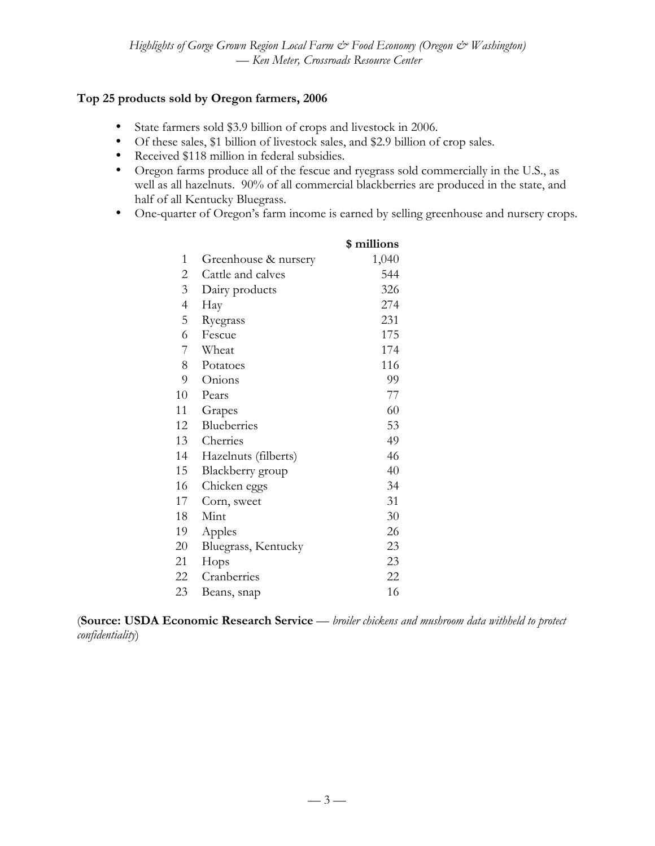# **Top 25 products sold by Oregon farmers, 2006**

State farmers sold \$3.9 billion of crops and livestock in 2006.

Of these sales, \$1 billion of livestock sales, and \$2.9 billion of crop sales.

Received \$118 million in federal subsidies.

Oregon farms produce all of the fescue and ryegrass sold commercially in the U.S., as well as all hazelnuts. 90% of all commercial blackberries are produced in the state, and half of all Kentucky Bluegrass.

One-quarter of Oregon's farm income is earned by selling greenhouse and nursery crops.

|                |                      | \$ millions |
|----------------|----------------------|-------------|
| 1              | Greenhouse & nursery | 1,040       |
| 2              | Cattle and calves    | 544         |
| 3              | Dairy products       | 326         |
| $\overline{4}$ | Hay                  | 274         |
| 5              | Ryegrass             | 231         |
| 6              | Fescue               | 175         |
| 7              | Wheat                | 174         |
| 8              | Potatoes             | 116         |
| 9              | Onions               | 99          |
| 10             | Pears                | 77          |
| 11             | Grapes               | 60          |
| 12             | Blueberries          | 53          |
| 13             | Cherries             | 49          |
| 14             | Hazelnuts (filberts) | 46          |
| 15             | Blackberry group     | 40          |
| 16             | Chicken eggs         | 34          |
| 17             | Corn, sweet          | 31          |
| 18             | Mint                 | 30          |
| 19             | Apples               | 26          |
| 20             | Bluegrass, Kentucky  | 23          |
| 21             | Hops                 | 23          |
| 22             | Cranberries          | 22          |
| 23             | Beans, snap          | 16          |
|                |                      |             |

(**Source: USDA Economic Research Service** — *broiler chickens and mushroom data withheld to protect confidentiality*)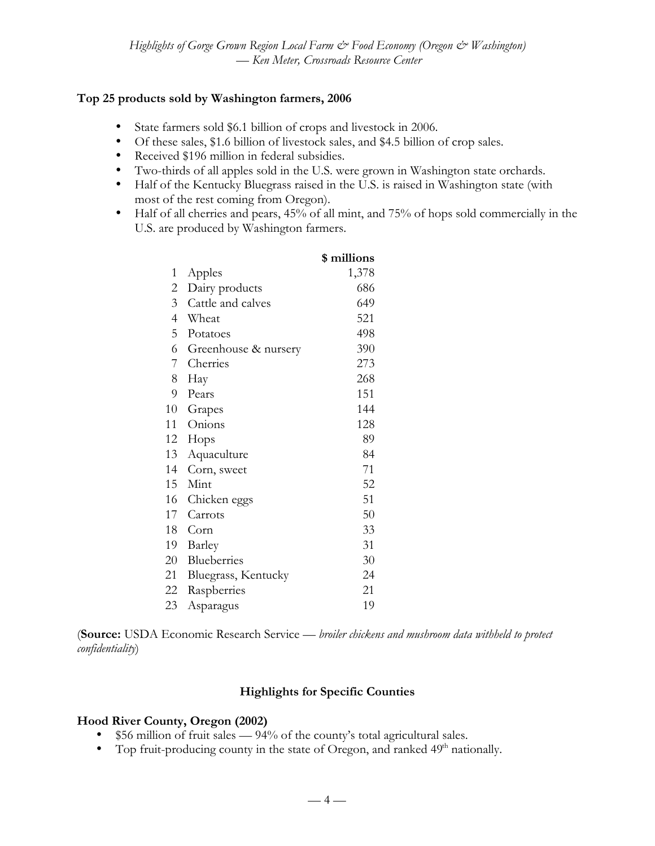## **Top 25 products sold by Washington farmers, 2006**

State farmers sold \$6.1 billion of crops and livestock in 2006. Of these sales, \$1.6 billion of livestock sales, and \$4.5 billion of crop sales. Received \$196 million in federal subsidies. Two-thirds of all apples sold in the U.S. were grown in Washington state orchards.

Half of the Kentucky Bluegrass raised in the U.S. is raised in Washington state (with most of the rest coming from Oregon).

Half of all cherries and pears, 45% of all mint, and 75% of hops sold commercially in the U.S. are produced by Washington farmers.

|                |                      | \$ millions |
|----------------|----------------------|-------------|
| 1              | Apples               | 1,378       |
| $\overline{2}$ | Dairy products       | 686         |
| $\overline{3}$ | Cattle and calves    | 649         |
| $\overline{4}$ | Wheat                | 521         |
| 5              | Potatoes             | 498         |
| 6              | Greenhouse & nursery | 390         |
| $7\degree$     | Cherries             | 273         |
| 8              | Hay                  | 268         |
| 9              | Pears                | 151         |
| 10             | Grapes               | 144         |
| 11             | Onions               | 128         |
| 12             | Hops                 | 89          |
| 13             | Aquaculture          | 84          |
| 14             | Corn, sweet          | 71          |
| 15             | Mint                 | 52          |
| 16             | Chicken eggs         | 51          |
| 17             | Carrots              | 50          |
| 18             | Corn                 | 33          |
| 19             | Barley               | 31          |
| 20             | Blueberries          | 30          |
| 21             | Bluegrass, Kentucky  | 24          |
| 22             | Raspberries          | 21          |
| 23             | Asparagus            | 19          |
|                |                      |             |

(**Source:** USDA Economic Research Service — *broiler chickens and mushroom data withheld to protect confidentiality*)

#### **Highlights for Specific Counties**

#### **Hood River County, Oregon (2002)**

\$56 million of fruit sales — 94% of the county's total agricultural sales. Top fruit-producing county in the state of Oregon, and ranked 49<sup>th</sup> nationally.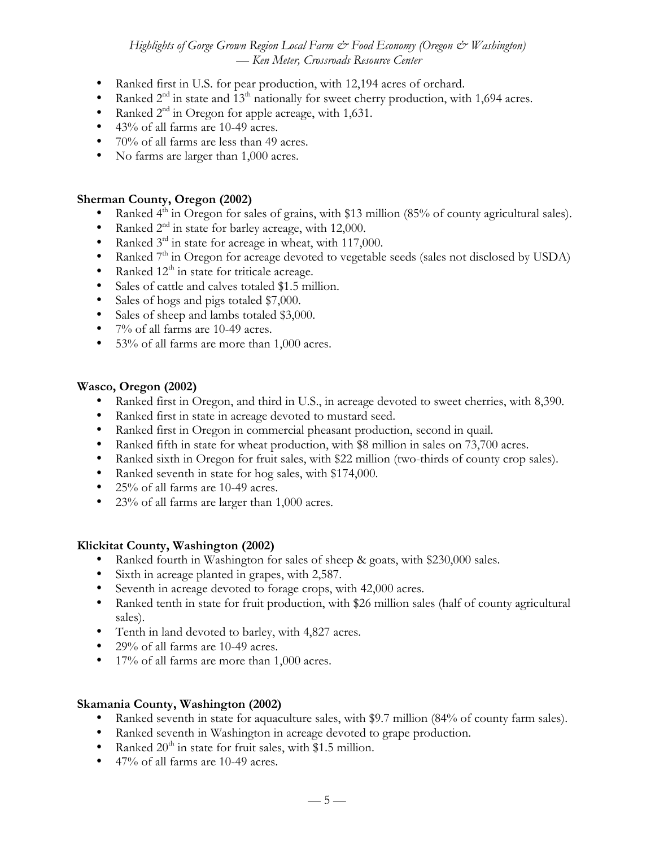*Highlights of Gorge Grown Region Local Farm*  $\mathcal O$  *Food Economy (Oregon*  $\mathcal O$  *Washington) — Ken Meter, Crossroads Resource Center*

Ranked first in U.S. for pear production, with 12,194 acres of orchard. Ranked  $2<sup>nd</sup>$  in state and  $13<sup>th</sup>$  nationally for sweet cherry production, with 1,694 acres. Ranked 2<sup>nd</sup> in Oregon for apple acreage, with 1,631. 43% of all farms are 10-49 acres. 70% of all farms are less than 49 acres. No farms are larger than 1,000 acres.

#### **Sherman County, Oregon (2002)**

Ranked  $4<sup>th</sup>$  in Oregon for sales of grains, with \$13 million (85% of county agricultural sales). Ranked 2<sup>nd</sup> in state for barley acreage, with 12,000.

Ranked 3<sup>rd</sup> in state for acreage in wheat, with 117,000.

Ranked  $7<sup>th</sup>$  in Oregon for acreage devoted to vegetable seeds (sales not disclosed by USDA) Ranked  $12<sup>th</sup>$  in state for triticale acreage.

Sales of cattle and calves totaled \$1.5 million.

Sales of hogs and pigs totaled \$7,000.

Sales of sheep and lambs totaled \$3,000.

7% of all farms are 10-49 acres.

53% of all farms are more than 1,000 acres.

## **Wasco, Oregon (2002)**

Ranked first in Oregon, and third in U.S., in acreage devoted to sweet cherries, with 8,390. Ranked first in state in acreage devoted to mustard seed.

Ranked first in Oregon in commercial pheasant production, second in quail.

Ranked fifth in state for wheat production, with \$8 million in sales on 73,700 acres.

Ranked sixth in Oregon for fruit sales, with \$22 million (two-thirds of county crop sales).

Ranked seventh in state for hog sales, with \$174,000.

25% of all farms are 10-49 acres.

23% of all farms are larger than 1,000 acres.

## **Klickitat County, Washington (2002)**

Ranked fourth in Washington for sales of sheep & goats, with \$230,000 sales.

Sixth in acreage planted in grapes, with 2,587.

Seventh in acreage devoted to forage crops, with 42,000 acres.

Ranked tenth in state for fruit production, with \$26 million sales (half of county agricultural sales).

Tenth in land devoted to barley, with 4,827 acres.

29% of all farms are 10-49 acres.

17% of all farms are more than 1,000 acres.

## **Skamania County, Washington (2002)**

Ranked seventh in state for aquaculture sales, with \$9.7 million (84% of county farm sales). Ranked seventh in Washington in acreage devoted to grape production. Ranked  $20<sup>th</sup>$  in state for fruit sales, with \$1.5 million. 47% of all farms are 10-49 acres.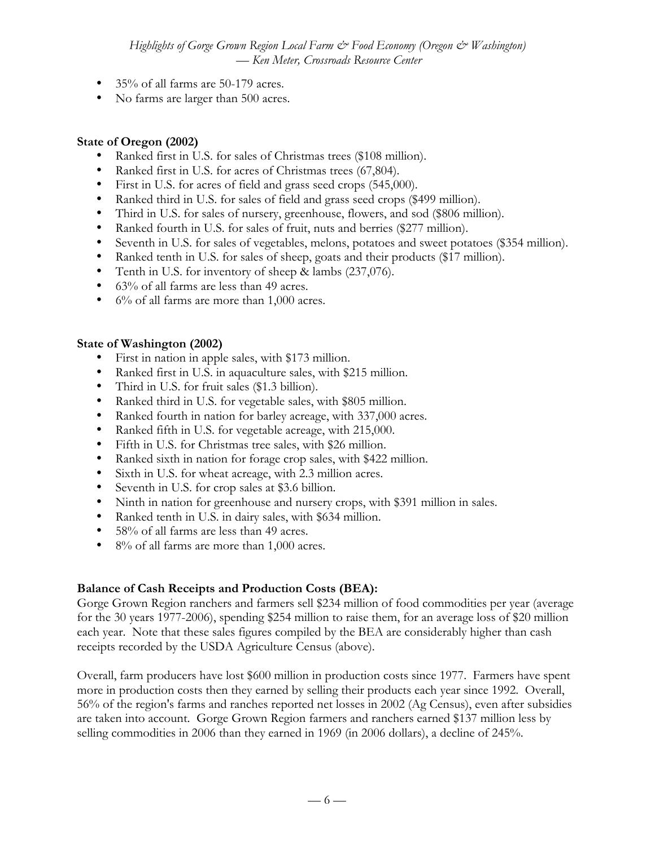*Highlights of Gorge Grown Region Local Farm*  $\dot{\mathcal{C}}$  *Food Economy (Oregon*  $\dot{\mathcal{C}}$  *Washington) — Ken Meter, Crossroads Resource Center*

35% of all farms are 50-179 acres. No farms are larger than 500 acres.

#### **State of Oregon (2002)**

Ranked first in U.S. for sales of Christmas trees (\$108 million). Ranked first in U.S. for acres of Christmas trees (67,804). First in U.S. for acres of field and grass seed crops (545,000). Ranked third in U.S. for sales of field and grass seed crops (\$499 million). Third in U.S. for sales of nursery, greenhouse, flowers, and sod (\$806 million). Ranked fourth in U.S. for sales of fruit, nuts and berries (\$277 million). Seventh in U.S. for sales of vegetables, melons, potatoes and sweet potatoes (\$354 million). Ranked tenth in U.S. for sales of sheep, goats and their products (\$17 million). Tenth in U.S. for inventory of sheep & lambs (237,076). 63% of all farms are less than 49 acres. 6% of all farms are more than 1,000 acres.

# **State of Washington (2002)**

First in nation in apple sales, with \$173 million. Ranked first in U.S. in aquaculture sales, with \$215 million. Third in U.S. for fruit sales (\$1.3 billion). Ranked third in U.S. for vegetable sales, with \$805 million. Ranked fourth in nation for barley acreage, with 337,000 acres. Ranked fifth in U.S. for vegetable acreage, with 215,000. Fifth in U.S. for Christmas tree sales, with \$26 million. Ranked sixth in nation for forage crop sales, with \$422 million. Sixth in U.S. for wheat acreage, with 2.3 million acres. Seventh in U.S. for crop sales at \$3.6 billion. Ninth in nation for greenhouse and nursery crops, with \$391 million in sales. Ranked tenth in U.S. in dairy sales, with \$634 million. 58% of all farms are less than 49 acres. 8% of all farms are more than 1,000 acres.

# **Balance of Cash Receipts and Production Costs (BEA):**

Gorge Grown Region ranchers and farmers sell \$234 million of food commodities per year (average for the 30 years 1977-2006), spending \$254 million to raise them, for an average loss of \$20 million each year. Note that these sales figures compiled by the BEA are considerably higher than cash receipts recorded by the USDA Agriculture Census (above).

Overall, farm producers have lost \$600 million in production costs since 1977. Farmers have spent more in production costs then they earned by selling their products each year since 1992. Overall, 56% of the region's farms and ranches reported net losses in 2002 (Ag Census), even after subsidies are taken into account. Gorge Grown Region farmers and ranchers earned \$137 million less by selling commodities in 2006 than they earned in 1969 (in 2006 dollars), a decline of 245%.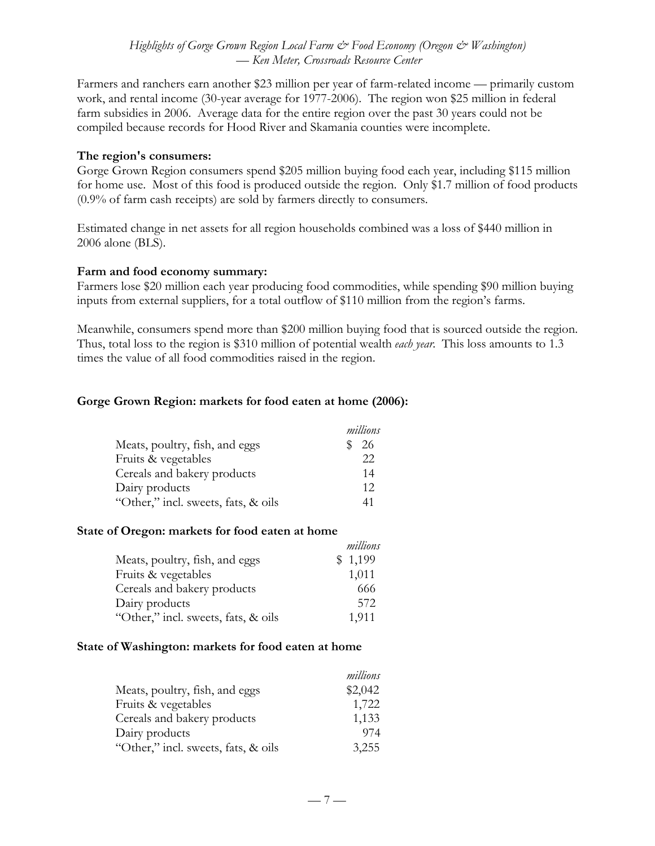## *Highlights of Gorge Grown Region Local Farm*  $\dot{\mathcal{C}}$  *Food Economy (Oregon*  $\dot{\mathcal{C}}$  *Washington) — Ken Meter, Crossroads Resource Center*

Farmers and ranchers earn another \$23 million per year of farm-related income — primarily custom work, and rental income (30-year average for 1977-2006). The region won \$25 million in federal farm subsidies in 2006. Average data for the entire region over the past 30 years could not be compiled because records for Hood River and Skamania counties were incomplete.

#### **The region's consumers:**

Gorge Grown Region consumers spend \$205 million buying food each year, including \$115 million for home use. Most of this food is produced outside the region. Only \$1.7 million of food products (0.9% of farm cash receipts) are sold by farmers directly to consumers.

Estimated change in net assets for all region households combined was a loss of \$440 million in 2006 alone (BLS).

## **Farm and food economy summary:**

Farmers lose \$20 million each year producing food commodities, while spending \$90 million buying inputs from external suppliers, for a total outflow of \$110 million from the region's farms.

Meanwhile, consumers spend more than \$200 million buying food that is sourced outside the region. Thus, total loss to the region is \$310 million of potential wealth *each year*. This loss amounts to 1.3 times the value of all food commodities raised in the region.

*millions*

## **Gorge Grown Region: markets for food eaten at home (2006):**

|                                     | millions |
|-------------------------------------|----------|
| Meats, poultry, fish, and eggs      | -26      |
| Fruits & vegetables                 | 22       |
| Cereals and bakery products         | 14       |
| Dairy products                      | 12       |
| "Other," incl. sweets, fats, & oils | 41       |

#### **State of Oregon: markets for food eaten at home**

| muuons  |
|---------|
| \$1,199 |
| 1,011   |
| 666     |
| 572     |
| 1,911   |
|         |

#### **State of Washington: markets for food eaten at home**

|                                     | millions |
|-------------------------------------|----------|
| Meats, poultry, fish, and eggs      | \$2,042  |
| Fruits & vegetables                 | 1,722    |
| Cereals and bakery products         | 1,133    |
| Dairy products                      | 974      |
| "Other," incl. sweets, fats, & oils | 3,255    |